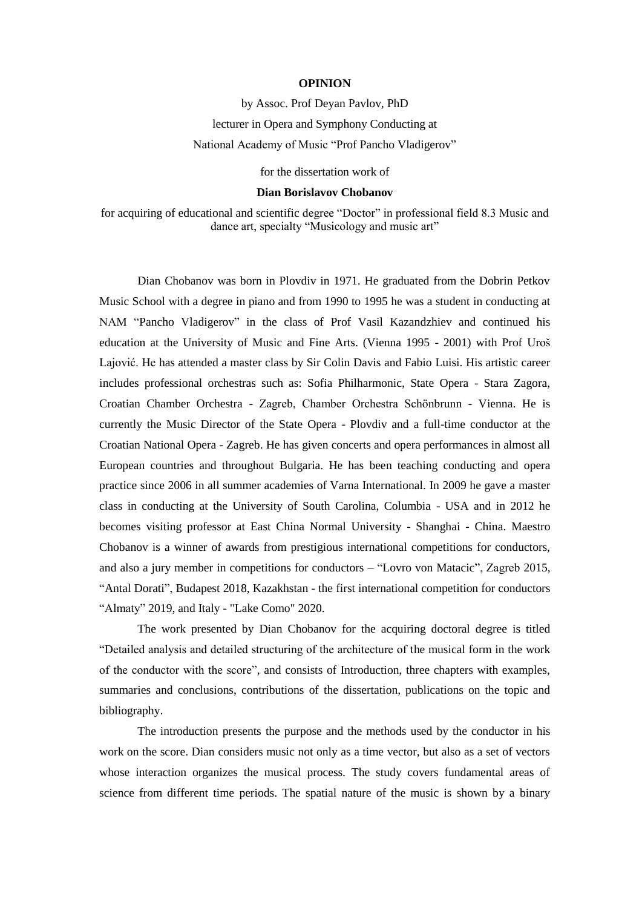## **OPINION**

## by Assoc. Prof Deyan Pavlov, PhD lecturer in Opera and Symphony Conducting at National Academy of Music "Prof Pancho Vladigerov"

for the dissertation work of

## **Dian Borislavov Chobanov**

for acquiring of educational and scientific degree "Doctor" in professional field 8.3 Music and dance art, specialty "Musicology and music art"

Dian Chobanov was born in Plovdiv in 1971. He graduated from the Dobrin Petkov Music School with a degree in piano and from 1990 to 1995 he was a student in conducting at NAM "Pancho Vladigerov" in the class of Prof Vasil Kazandzhiev and continued his education at the University of Music and Fine Arts. (Vienna 1995 - 2001) with Prof Uroš Lajović. He has attended a master class by Sir Colin Davis and Fabio Luisi. His artistic career includes professional orchestras such as: Sofia Philharmonic, State Opera - Stara Zagora, Croatian Chamber Orchestra - Zagreb, Chamber Orchestra Schönbrunn - Vienna. He is currently the Music Director of the State Opera - Plovdiv and a full-time conductor at the Croatian National Opera - Zagreb. He has given concerts and opera performances in almost all European countries and throughout Bulgaria. He has been teaching conducting and opera practice since 2006 in all summer academies of Varna International. In 2009 he gave a master class in conducting at the University of South Carolina, Columbia - USA and in 2012 he becomes visiting professor at East China Normal University - Shanghai - China. Maestro Chobanov is a winner of awards from prestigious international competitions for conductors, and also a jury member in competitions for conductors – "Lovro von Matacic", Zagreb 2015, "Antal Dorati", Budapest 2018, Kazakhstan - the first international competition for conductors "Almaty" 2019, and Italy - "Lake Como" 2020.

The work presented by Dian Chobanov for the acquiring doctoral degree is titled "Detailed analysis and detailed structuring of the architecture of the musical form in the work of the conductor with the score", and consists of Introduction, three chapters with examples, summaries and conclusions, contributions of the dissertation, publications on the topic and bibliography.

The introduction presents the purpose and the methods used by the conductor in his work on the score. Dian considers music not only as a time vector, but also as a set of vectors whose interaction organizes the musical process. The study covers fundamental areas of science from different time periods. The spatial nature of the music is shown by a binary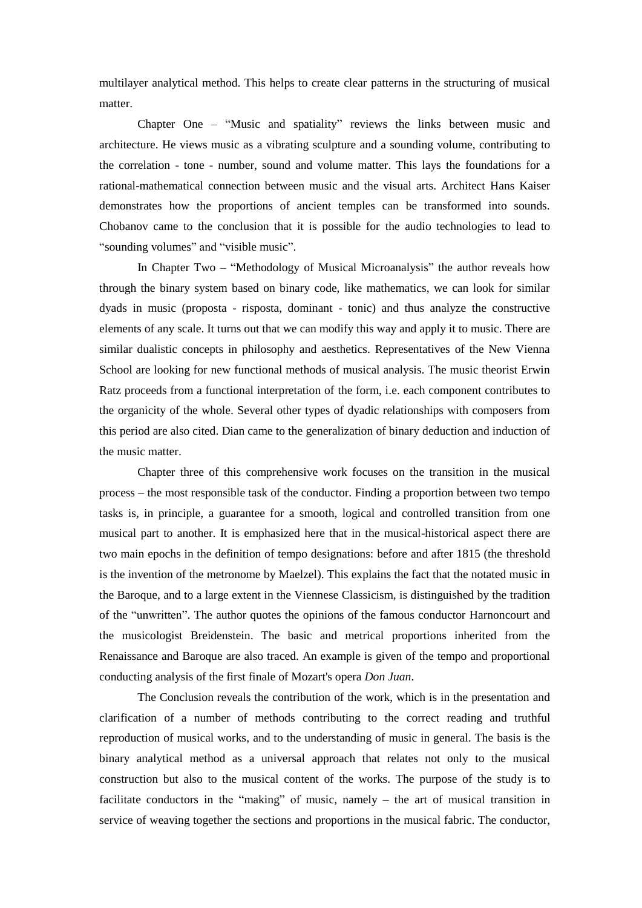multilayer analytical method. This helps to create clear patterns in the structuring of musical matter.

Chapter One – "Music and spatiality" reviews the links between music and architecture. He views music as a vibrating sculpture and a sounding volume, contributing to the correlation - tone - number, sound and volume matter. This lays the foundations for a rational-mathematical connection between music and the visual arts. Architect Hans Kaiser demonstrates how the proportions of ancient temples can be transformed into sounds. Chobanov came to the conclusion that it is possible for the audio technologies to lead to "sounding volumes" and "visible music".

In Chapter Two – "Methodology of Musical Microanalysis" the author reveals how through the binary system based on binary code, like mathematics, we can look for similar dyads in music (proposta - risposta, dominant - tonic) and thus analyze the constructive elements of any scale. It turns out that we can modify this way and apply it to music. There are similar dualistic concepts in philosophy and aesthetics. Representatives of the New Vienna School are looking for new functional methods of musical analysis. The music theorist Erwin Ratz proceeds from a functional interpretation of the form, i.e. each component contributes to the organicity of the whole. Several other types of dyadic relationships with composers from this period are also cited. Dian came to the generalization of binary deduction and induction of the music matter.

Chapter three of this comprehensive work focuses on the transition in the musical process – the most responsible task of the conductor. Finding a proportion between two tempo tasks is, in principle, a guarantee for a smooth, logical and controlled transition from one musical part to another. It is emphasized here that in the musical-historical aspect there are two main epochs in the definition of tempo designations: before and after 1815 (the threshold is the invention of the metronome by Maelzel). This explains the fact that the notated music in the Baroque, and to a large extent in the Viennese Classicism, is distinguished by the tradition of the "unwritten". The author quotes the opinions of the famous conductor Harnoncourt and the musicologist Breidenstein. The basic and metrical proportions inherited from the Renaissance and Baroque are also traced. An example is given of the tempo and proportional conducting analysis of the first finale of Mozart's opera *Don Juan*.

The Conclusion reveals the contribution of the work, which is in the presentation and clarification of a number of methods contributing to the correct reading and truthful reproduction of musical works, and to the understanding of music in general. The basis is the binary analytical method as a universal approach that relates not only to the musical construction but also to the musical content of the works. The purpose of the study is to facilitate conductors in the "making" of music, namely – the art of musical transition in service of weaving together the sections and proportions in the musical fabric. The conductor,